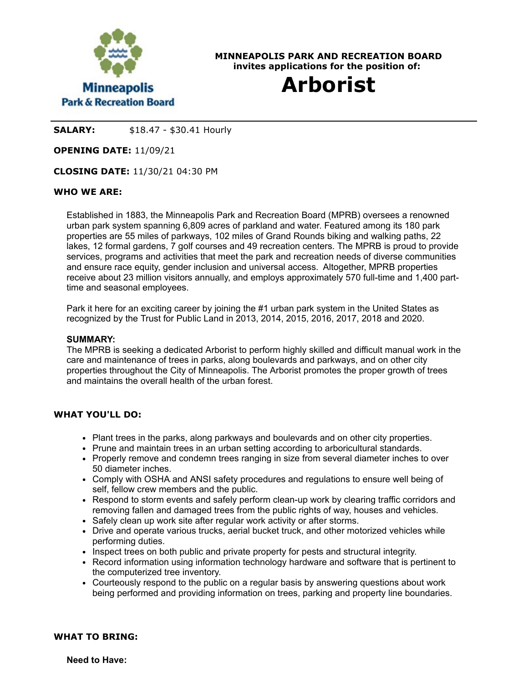

**MINNEAPOLIS PARK AND RECREATION BOARD invites applications for the position of:**

# **Arborist**

**SALARY:** \$18.47 - \$30.41 Hourly

**OPENING DATE:** 11/09/21

**CLOSING DATE:** 11/30/21 04:30 PM

## **WHO WE ARE:**

Established in 1883, the Minneapolis Park and Recreation Board (MPRB) oversees a renowned urban park system spanning 6,809 acres of parkland and water. Featured among its 180 park properties are 55 miles of parkways, 102 miles of Grand Rounds biking and walking paths, 22 lakes, 12 formal gardens, 7 golf courses and 49 recreation centers. The MPRB is proud to provide services, programs and activities that meet the park and recreation needs of diverse communities and ensure race equity, gender inclusion and universal access. Altogether, MPRB properties receive about 23 million visitors annually, and employs approximately 570 full-time and 1,400 parttime and seasonal employees.

Park it here for an exciting career by joining the #1 urban park system in the United States as recognized by the Trust for Public Land in 2013, 2014, 2015, 2016, 2017, 2018 and 2020.

#### **SUMMARY:**

The MPRB is seeking a dedicated Arborist to perform highly skilled and difficult manual work in the care and maintenance of trees in parks, along boulevards and parkways, and on other city properties throughout the City of Minneapolis. The Arborist promotes the proper growth of trees and maintains the overall health of the urban forest.

#### **WHAT YOU'LL DO:**

- Plant trees in the parks, along parkways and boulevards and on other city properties.
- Prune and maintain trees in an urban setting according to arboricultural standards.
- Properly remove and condemn trees ranging in size from several diameter inches to over 50 diameter inches.
- Comply with OSHA and ANSI safety procedures and regulations to ensure well being of self, fellow crew members and the public.
- Respond to storm events and safely perform clean-up work by clearing traffic corridors and removing fallen and damaged trees from the public rights of way, houses and vehicles.
- Safely clean up work site after regular work activity or after storms.
- Drive and operate various trucks, aerial bucket truck, and other motorized vehicles while performing duties.
- Inspect trees on both public and private property for pests and structural integrity.
- Record information using information technology hardware and software that is pertinent to the computerized tree inventory.
- Courteously respond to the public on a regular basis by answering questions about work being performed and providing information on trees, parking and property line boundaries.

#### **WHAT TO BRING:**

**Need to Have:**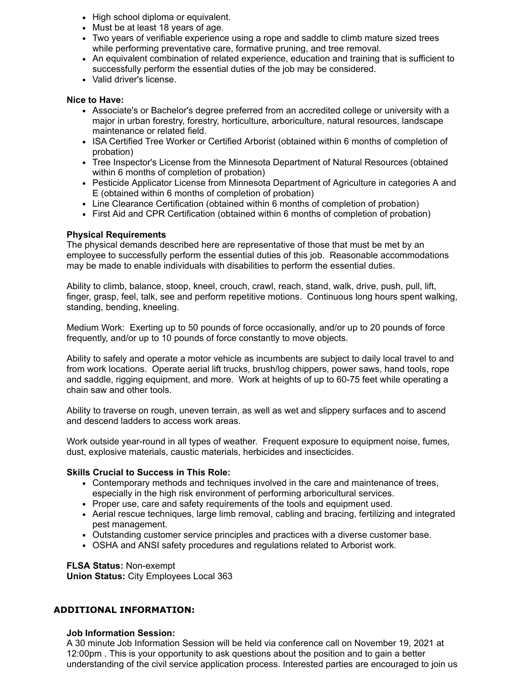- High school diploma or equivalent.
- Must be at least 18 years of age.
- Two years of verifiable experience using a rope and saddle to climb mature sized trees while performing preventative care, formative pruning, and tree removal.
- An equivalent combination of related experience, education and training that is sufficient to successfully perform the essential duties of the job may be considered.
- Valid driver's license.

#### **Nice to Have:**

- Associate's or Bachelor's degree preferred from an accredited college or university with a major in urban forestry, forestry, horticulture, arboriculture, natural resources, landscape maintenance or related field.
- ISA Certified Tree Worker or Certified Arborist (obtained within 6 months of completion of probation)
- Tree Inspector's License from the Minnesota Department of Natural Resources (obtained within 6 months of completion of probation)
- Pesticide Applicator License from Minnesota Department of Agriculture in categories A and E (obtained within 6 months of completion of probation)
- Line Clearance Certification (obtained within 6 months of completion of probation)
- First Aid and CPR Certification (obtained within 6 months of completion of probation)

## **Physical Requirements**

The physical demands described here are representative of those that must be met by an employee to successfully perform the essential duties of this job. Reasonable accommodations may be made to enable individuals with disabilities to perform the essential duties.

Ability to climb, balance, stoop, kneel, crouch, crawl, reach, stand, walk, drive, push, pull, lift, finger, grasp, feel, talk, see and perform repetitive motions. Continuous long hours spent walking, standing, bending, kneeling.

Medium Work: Exerting up to 50 pounds of force occasionally, and/or up to 20 pounds of force frequently, and/or up to 10 pounds of force constantly to move objects.

Ability to safely and operate a motor vehicle as incumbents are subject to daily local travel to and from work locations. Operate aerial lift trucks, brush/log chippers, power saws, hand tools, rope and saddle, rigging equipment, and more. Work at heights of up to 60-75 feet while operating a chain saw and other tools.

Ability to traverse on rough, uneven terrain, as well as wet and slippery surfaces and to ascend and descend ladders to access work areas.

Work outside year-round in all types of weather. Frequent exposure to equipment noise, fumes, dust, explosive materials, caustic materials, herbicides and insecticides.

## **Skills Crucial to Success in This Role:**

- Contemporary methods and techniques involved in the care and maintenance of trees, especially in the high risk environment of performing arboricultural services.
- Proper use, care and safety requirements of the tools and equipment used.
- Aerial rescue techniques, large limb removal, cabling and bracing, fertilizing and integrated pest management.
- Outstanding customer service principles and practices with a diverse customer base.
- OSHA and ANSI safety procedures and regulations related to Arborist work.

**FLSA Status:** Non-exempt

**Union Status:** City Employees Local 363

## **ADDITIONAL INFORMATION:**

## **Job Information Session:**

A 30 minute Job Information Session will be held via conference call on November 19, 2021 at 12:00pm . This is your opportunity to ask questions about the position and to gain a better understanding of the civil service application process. Interested parties are encouraged to join us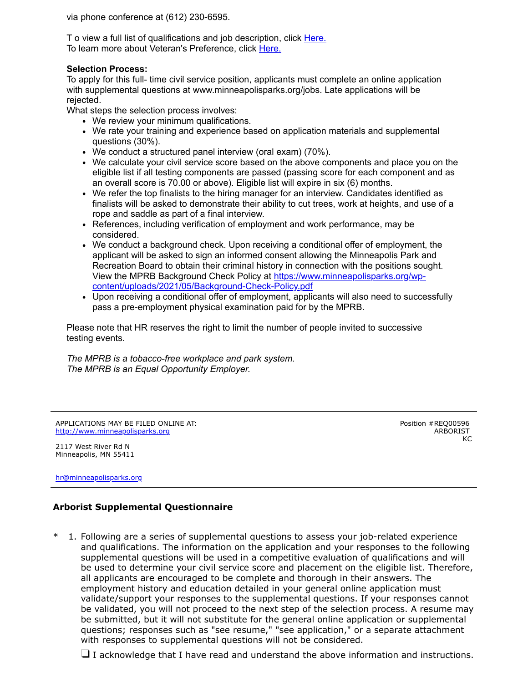via phone conference at (612) 230-6595.

T o view a full list of qualifications and job description, click [Here.](https://www.governmentjobs.com/careers/mnparks/classspecs?page=2&pagetype=classSpecifications&specId=948823) To learn more about Veteran's Preference, click [Here.](https://www.minneapolisparks.org/jobs/veterans_preference/)

#### **Selection Process:**

To apply for this full- time civil service position, applicants must complete an online application with supplemental questions at www.minneapolisparks.org/jobs. Late applications will be rejected.

What steps the selection process involves:

- We review your minimum qualifications.
- We rate your training and experience based on application materials and supplemental questions (30%).
- We conduct a structured panel interview (oral exam) (70%).
- We calculate your civil service score based on the above components and place you on the eligible list if all testing components are passed (passing score for each component and as an overall score is 70.00 or above). Eligible list will expire in six (6) months.
- We refer the top finalists to the hiring manager for an interview. Candidates identified as finalists will be asked to demonstrate their ability to cut trees, work at heights, and use of a rope and saddle as part of a final interview.
- References, including verification of employment and work performance, may be considered.
- We conduct a background check. Upon receiving a conditional offer of employment, the applicant will be asked to sign an informed consent allowing the Minneapolis Park and Recreation Board to obtain their criminal history in connection with the positions sought. View the MPRB Background Check Policy at https://www.minneapolisparks.org/wp[content/uploads/2021/05/Background-Check-Policy.pdf](https://gcc02.safelinks.protection.outlook.com/?url=https%3A%2F%2Fwww.minneapolisparks.org%2Fwp-content%2Fuploads%2F2021%2F05%2FBackground-Check-Policy.pdf&data=04%7C01%7C%7Cf2ad0c4bdc484ea42e7208d910b17530%7C64978fab645c49ceb833754623612d22%7C0%7C0%7C637559176616344615%7CUnknown%7CTWFpbGZsb3d8eyJWIjoiMC4wLjAwMDAiLCJQIjoiV2luMzIiLCJBTiI6Ik1haWwiLCJXVCI6Mn0%3D%7C1000&sdata=O4Pa1eIIiAw4Th%2BM9QnqyC9q5nhQC9COgaJ4FdWDPv8%3D&reserved=0)
- Upon receiving a conditional offer of employment, applicants will also need to successfully pass a pre-employment physical examination paid for by the MPRB.

Please note that HR reserves the right to limit the number of people invited to successive testing events.

*The MPRB is a tobacco-free workplace and park system. The MPRB is an Equal Opportunity Employer.*

APPLICATIONS MAY BE FILED ONLINE AT: [http://www.minneapolisparks.org](http://www.minneapolisparks.org/)

2117 West River Rd N Minneapolis, MN 55411

[hr@minneapolisparks.org](mailto:hr@minneapolisparks.org)

Position #REQ00596 ARBORIST KC

## **Arborist Supplemental Questionnaire**

\* 1. Following are a series of supplemental questions to assess your job-related experience and qualifications. The information on the application and your responses to the following supplemental questions will be used in a competitive evaluation of qualifications and will be used to determine your civil service score and placement on the eligible list. Therefore, all applicants are encouraged to be complete and thorough in their answers. The employment history and education detailed in your general online application must validate/support your responses to the supplemental questions. If your responses cannot be validated, you will not proceed to the next step of the selection process. A resume may be submitted, but it will not substitute for the general online application or supplemental questions; responses such as "see resume," "see application," or a separate attachment with responses to supplemental questions will not be considered.

 $\Box$  I acknowledge that I have read and understand the above information and instructions.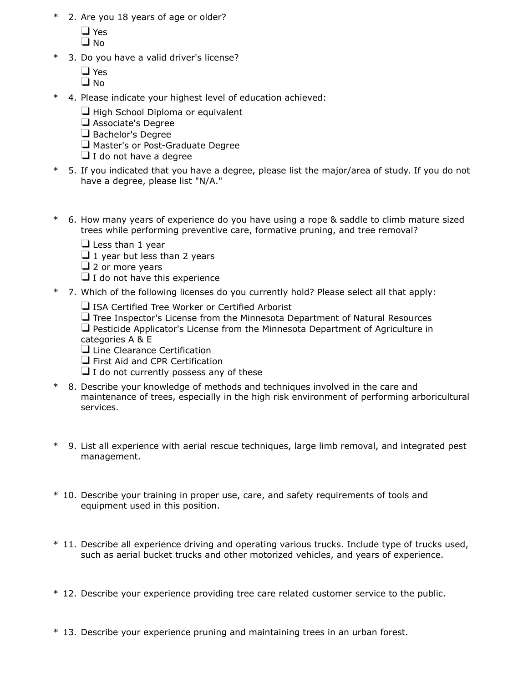- \* 2. Are you 18 years of age or older?
	- Yes
	- $\Box$  No
- \* 3. Do you have a valid driver's license?
	- □ Yes
	- $\square$  No
- \* 4. Please indicate your highest level of education achieved:
	- $\Box$  High School Diploma or equivalent
	- Associate's Degree
	- Bachelor's Degree
	- Master's or Post-Graduate Degree
	- $\Box$  I do not have a degree
- \* 5. If you indicated that you have a degree, please list the major/area of study. If you do not have a degree, please list "N/A."
- \* 6. How many years of experience do you have using a rope & saddle to climb mature sized trees while performing preventive care, formative pruning, and tree removal?
	- $\Box$  Less than 1 year
	- $\Box$  1 year but less than 2 years
	- $\Box$  2 or more years
	- $\Box$  I do not have this experience
- \* 7. Which of the following licenses do you currently hold? Please select all that apply:
	- $\Box$  ISA Certified Tree Worker or Certified Arborist
	- $\Box$  Tree Inspector's License from the Minnesota Department of Natural Resources  $\Box$  Pesticide Applicator's License from the Minnesota Department of Agriculture in categories A & E
	- **L** Line Clearance Certification
	- **T** First Aid and CPR Certification
	- $\Box$  I do not currently possess any of these
- \* 8. Describe your knowledge of methods and techniques involved in the care and maintenance of trees, especially in the high risk environment of performing arboricultural services.
- \* 9. List all experience with aerial rescue techniques, large limb removal, and integrated pest management.
- \* 10. Describe your training in proper use, care, and safety requirements of tools and equipment used in this position.
- \* 11. Describe all experience driving and operating various trucks. Include type of trucks used, such as aerial bucket trucks and other motorized vehicles, and years of experience.
- \* 12. Describe your experience providing tree care related customer service to the public.
- \* 13. Describe your experience pruning and maintaining trees in an urban forest.